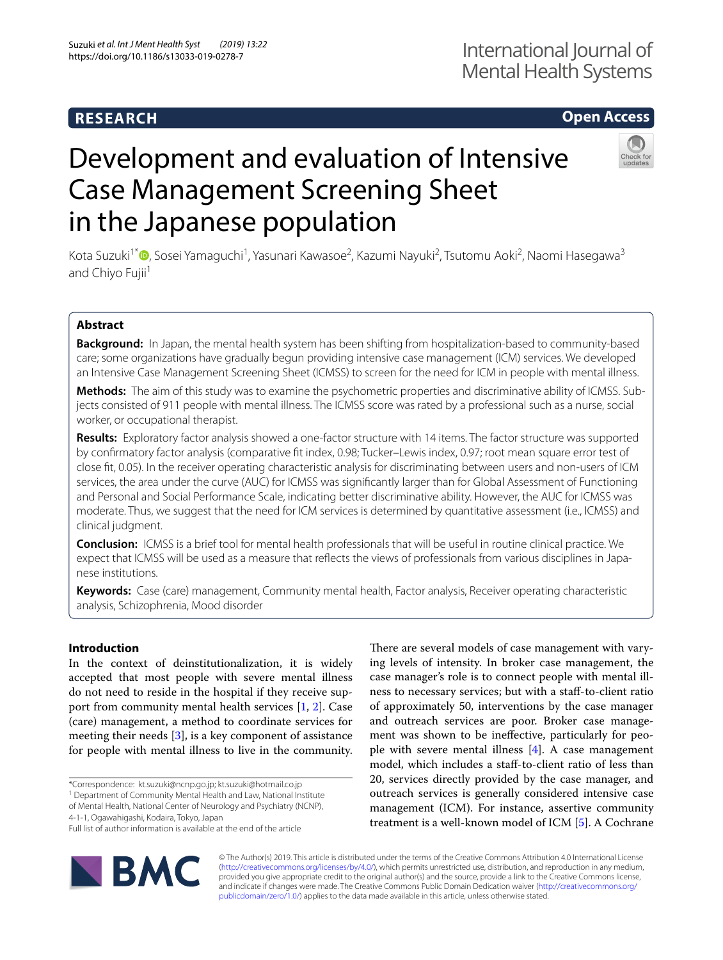# **RESEARCH**

# **Open Access**

# Development and evaluation of Intensive Case Management Screening Sheet in the Japanese population



Kota Suzuki<sup>1\*</sup>®[,](http://orcid.org/0000-0001-5552-6665) Sosei Yamaguchi<sup>1</sup>, Yasunari Kawasoe<sup>2</sup>, Kazumi Nayuki<sup>2</sup>, Tsutomu Aoki<sup>2</sup>, Naomi Hasegawa<sup>3</sup> and Chiyo Fujii<sup>1</sup>

## **Abstract**

**Background:** In Japan, the mental health system has been shifting from hospitalization-based to community-based care; some organizations have gradually begun providing intensive case management (ICM) services. We developed an Intensive Case Management Screening Sheet (ICMSS) to screen for the need for ICM in people with mental illness.

**Methods:** The aim of this study was to examine the psychometric properties and discriminative ability of ICMSS. Subjects consisted of 911 people with mental illness. The ICMSS score was rated by a professional such as a nurse, social worker, or occupational therapist.

**Results:** Exploratory factor analysis showed a one-factor structure with 14 items. The factor structure was supported by confrmatory factor analysis (comparative ft index, 0.98; Tucker–Lewis index, 0.97; root mean square error test of close ft, 0.05). In the receiver operating characteristic analysis for discriminating between users and non-users of ICM services, the area under the curve (AUC) for ICMSS was signifcantly larger than for Global Assessment of Functioning and Personal and Social Performance Scale, indicating better discriminative ability. However, the AUC for ICMSS was moderate. Thus, we suggest that the need for ICM services is determined by quantitative assessment (i.e., ICMSS) and clinical judgment.

**Conclusion:** ICMSS is a brief tool for mental health professionals that will be useful in routine clinical practice. We expect that ICMSS will be used as a measure that refects the views of professionals from various disciplines in Japanese institutions.

**Keywords:** Case (care) management, Community mental health, Factor analysis, Receiver operating characteristic analysis, Schizophrenia, Mood disorder

## **Introduction**

In the context of deinstitutionalization, it is widely accepted that most people with severe mental illness do not need to reside in the hospital if they receive support from community mental health services [[1,](#page-6-0) [2\]](#page-6-1). Case (care) management, a method to coordinate services for meeting their needs [\[3](#page-6-2)], is a key component of assistance for people with mental illness to live in the community.

4-1-1, Ogawahigashi, Kodaira, Tokyo, Japan

Full list of author information is available at the end of the article



There are several models of case management with varying levels of intensity. In broker case management, the case manager's role is to connect people with mental illness to necessary services; but with a staf-to-client ratio of approximately 50, interventions by the case manager and outreach services are poor. Broker case management was shown to be inefective, particularly for people with severe mental illness [\[4](#page-6-3)]. A case management model, which includes a staf-to-client ratio of less than 20, services directly provided by the case manager, and outreach services is generally considered intensive case management (ICM). For instance, assertive community treatment is a well-known model of ICM [[5\]](#page-6-4). A Cochrane

© The Author(s) 2019. This article is distributed under the terms of the Creative Commons Attribution 4.0 International License [\(http://creativecommons.org/licenses/by/4.0/\)](http://creativecommons.org/licenses/by/4.0/), which permits unrestricted use, distribution, and reproduction in any medium, provided you give appropriate credit to the original author(s) and the source, provide a link to the Creative Commons license, and indicate if changes were made. The Creative Commons Public Domain Dedication waiver ([http://creativecommons.org/](http://creativecommons.org/publicdomain/zero/1.0/) [publicdomain/zero/1.0/](http://creativecommons.org/publicdomain/zero/1.0/)) applies to the data made available in this article, unless otherwise stated.

<sup>\*</sup>Correspondence: kt.suzuki@ncnp.go.jp; kt.suzuki@hotmail.co.jp

<sup>&</sup>lt;sup>1</sup> Department of Community Mental Health and Law, National Institute of Mental Health, National Center of Neurology and Psychiatry (NCNP),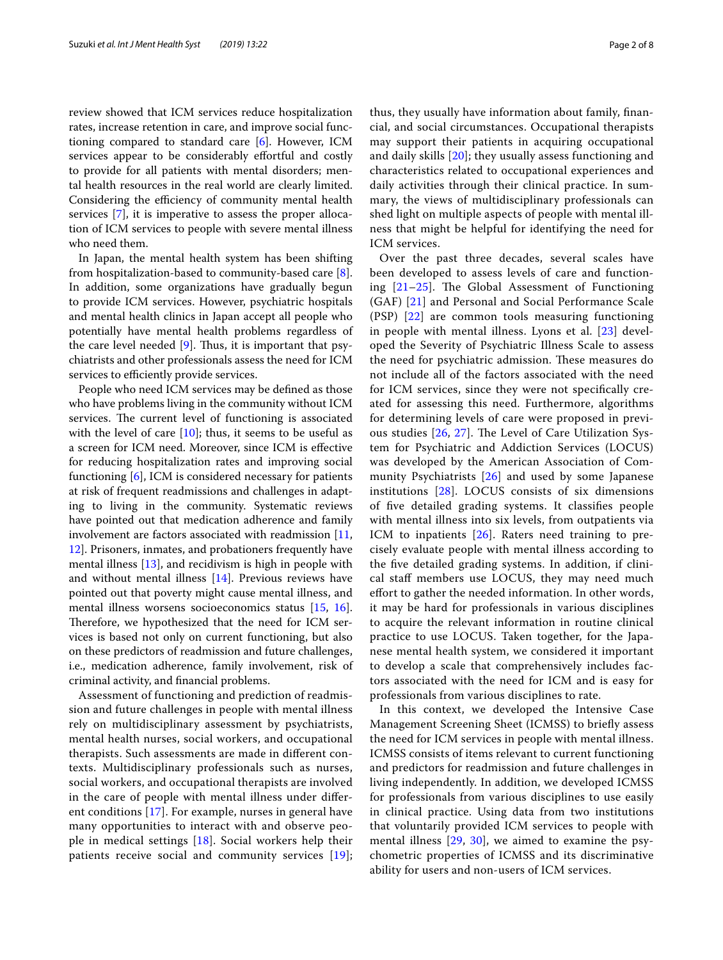review showed that ICM services reduce hospitalization rates, increase retention in care, and improve social functioning compared to standard care [[6](#page-6-5)]. However, ICM services appear to be considerably effortful and costly to provide for all patients with mental disorders; mental health resources in the real world are clearly limited. Considering the efficiency of community mental health services [[7\]](#page-6-6), it is imperative to assess the proper allocation of ICM services to people with severe mental illness who need them.

In Japan, the mental health system has been shifting from hospitalization-based to community-based care [\[8](#page-6-7)]. In addition, some organizations have gradually begun to provide ICM services. However, psychiatric hospitals and mental health clinics in Japan accept all people who potentially have mental health problems regardless of the care level needed  $[9]$  $[9]$ . Thus, it is important that psychiatrists and other professionals assess the need for ICM services to efficiently provide services.

People who need ICM services may be defned as those who have problems living in the community without ICM services. The current level of functioning is associated with the level of care  $[10]$ ; thus, it seems to be useful as a screen for ICM need. Moreover, since ICM is efective for reducing hospitalization rates and improving social functioning [\[6](#page-6-5)], ICM is considered necessary for patients at risk of frequent readmissions and challenges in adapting to living in the community. Systematic reviews have pointed out that medication adherence and family involvement are factors associated with readmission [\[11](#page-6-10), [12\]](#page-6-11). Prisoners, inmates, and probationers frequently have mental illness [\[13](#page-6-12)], and recidivism is high in people with and without mental illness [\[14](#page-6-13)]. Previous reviews have pointed out that poverty might cause mental illness, and mental illness worsens socioeconomics status [[15,](#page-6-14) [16](#page-6-15)]. Therefore, we hypothesized that the need for ICM services is based not only on current functioning, but also on these predictors of readmission and future challenges, i.e., medication adherence, family involvement, risk of criminal activity, and fnancial problems.

Assessment of functioning and prediction of readmission and future challenges in people with mental illness rely on multidisciplinary assessment by psychiatrists, mental health nurses, social workers, and occupational therapists. Such assessments are made in diferent contexts. Multidisciplinary professionals such as nurses, social workers, and occupational therapists are involved in the care of people with mental illness under diferent conditions [[17\]](#page-6-16). For example, nurses in general have many opportunities to interact with and observe people in medical settings [\[18](#page-6-17)]. Social workers help their patients receive social and community services [[19](#page-7-0)]; thus, they usually have information about family, fnancial, and social circumstances. Occupational therapists may support their patients in acquiring occupational and daily skills [[20\]](#page-7-1); they usually assess functioning and characteristics related to occupational experiences and daily activities through their clinical practice. In summary, the views of multidisciplinary professionals can shed light on multiple aspects of people with mental illness that might be helpful for identifying the need for ICM services.

Over the past three decades, several scales have been developed to assess levels of care and functioning  $[21-25]$  $[21-25]$  $[21-25]$ . The Global Assessment of Functioning (GAF) [[21](#page-7-2)] and Personal and Social Performance Scale (PSP) [\[22](#page-7-4)] are common tools measuring functioning in people with mental illness. Lyons et al. [[23\]](#page-7-5) developed the Severity of Psychiatric Illness Scale to assess the need for psychiatric admission. These measures do not include all of the factors associated with the need for ICM services, since they were not specifcally created for assessing this need. Furthermore, algorithms for determining levels of care were proposed in previous studies  $[26, 27]$  $[26, 27]$  $[26, 27]$  $[26, 27]$ . The Level of Care Utilization System for Psychiatric and Addiction Services (LOCUS) was developed by the American Association of Community Psychiatrists [[26](#page-7-6)] and used by some Japanese institutions [\[28\]](#page-7-8). LOCUS consists of six dimensions of fve detailed grading systems. It classifes people with mental illness into six levels, from outpatients via ICM to inpatients [[26\]](#page-7-6). Raters need training to precisely evaluate people with mental illness according to the fve detailed grading systems. In addition, if clinical staff members use LOCUS, they may need much efort to gather the needed information. In other words, it may be hard for professionals in various disciplines to acquire the relevant information in routine clinical practice to use LOCUS. Taken together, for the Japanese mental health system, we considered it important to develop a scale that comprehensively includes factors associated with the need for ICM and is easy for professionals from various disciplines to rate.

In this context, we developed the Intensive Case Management Screening Sheet (ICMSS) to briefy assess the need for ICM services in people with mental illness. ICMSS consists of items relevant to current functioning and predictors for readmission and future challenges in living independently. In addition, we developed ICMSS for professionals from various disciplines to use easily in clinical practice. Using data from two institutions that voluntarily provided ICM services to people with mental illness [[29](#page-7-9), [30](#page-7-10)], we aimed to examine the psychometric properties of ICMSS and its discriminative ability for users and non-users of ICM services.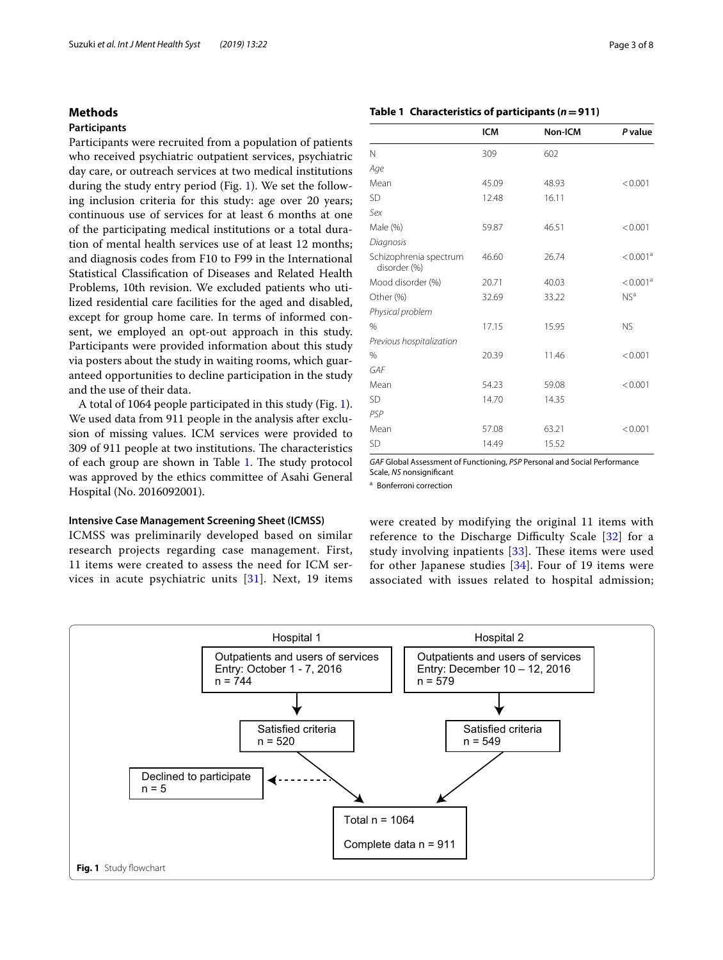## **Methods**

## **Participants**

Participants were recruited from a population of patients who received psychiatric outpatient services, psychiatric day care, or outreach services at two medical institutions during the study entry period (Fig. [1\)](#page-2-0). We set the following inclusion criteria for this study: age over 20 years; continuous use of services for at least 6 months at one of the participating medical institutions or a total duration of mental health services use of at least 12 months; and diagnosis codes from F10 to F99 in the International Statistical Classifcation of Diseases and Related Health Problems, 10th revision. We excluded patients who utilized residential care facilities for the aged and disabled, except for group home care. In terms of informed consent, we employed an opt-out approach in this study. Participants were provided information about this study via posters about the study in waiting rooms, which guaranteed opportunities to decline participation in the study and the use of their data.

A total of 1064 people participated in this study (Fig. [1](#page-2-0)). We used data from 911 people in the analysis after exclusion of missing values. ICM services were provided to 309 of 911 people at two institutions. The characteristics of each group are shown in Table [1](#page-2-1). The study protocol was approved by the ethics committee of Asahi General Hospital (No. 2016092001).

## **Intensive Case Management Screening Sheet (ICMSS)**

ICMSS was preliminarily developed based on similar research projects regarding case management. First, 11 items were created to assess the need for ICM services in acute psychiatric units  $[31]$  $[31]$  $[31]$ . Next, 19 items

## <span id="page-2-1"></span>**Table 1 Characteristics of participants (***n***=911)**

|                                        | <b>ICM</b> | Non-ICM | P value              |
|----------------------------------------|------------|---------|----------------------|
| N                                      | 309        | 602     |                      |
| Age                                    |            |         |                      |
| Mean                                   | 45.09      | 48.93   | < 0.001              |
| <b>SD</b>                              | 12.48      | 16.11   |                      |
| Sex                                    |            |         |                      |
| Male (%)                               | 59.87      | 46.51   | < 0.001              |
| Diagnosis                              |            |         |                      |
| Schizophrenia spectrum<br>disorder (%) | 46.60      | 26.74   | < 0.001 <sup>a</sup> |
| Mood disorder (%)                      | 20.71      | 40.03   | < 0.001 <sup>a</sup> |
| Other (%)                              | 32.69      | 33.22   | NS <sup>a</sup>      |
| Physical problem                       |            |         |                      |
| $\frac{0}{0}$                          | 17.15      | 15.95   | <b>NS</b>            |
| Previous hospitalization               |            |         |                      |
| %                                      | 20.39      | 11.46   | < 0.001              |
| GAF                                    |            |         |                      |
| Mean                                   | 54.23      | 59.08   | < 0.001              |
| <b>SD</b>                              | 14.70      | 14.35   |                      |
| PSP                                    |            |         |                      |
| Mean                                   | 57.08      | 63.21   | < 0.001              |
| <b>SD</b>                              | 14.49      | 15.52   |                      |

*GAF* Global Assessment of Functioning, *PSP* Personal and Social Performance Scale, *NS* nonsignifcant

<sup>a</sup> Bonferroni correction

were created by modifying the original 11 items with reference to the Discharge Difficulty Scale  $[32]$  for a study involving inpatients  $[33]$  $[33]$  $[33]$ . These items were used for other Japanese studies [\[34\]](#page-7-14). Four of 19 items were associated with issues related to hospital admission;

<span id="page-2-0"></span>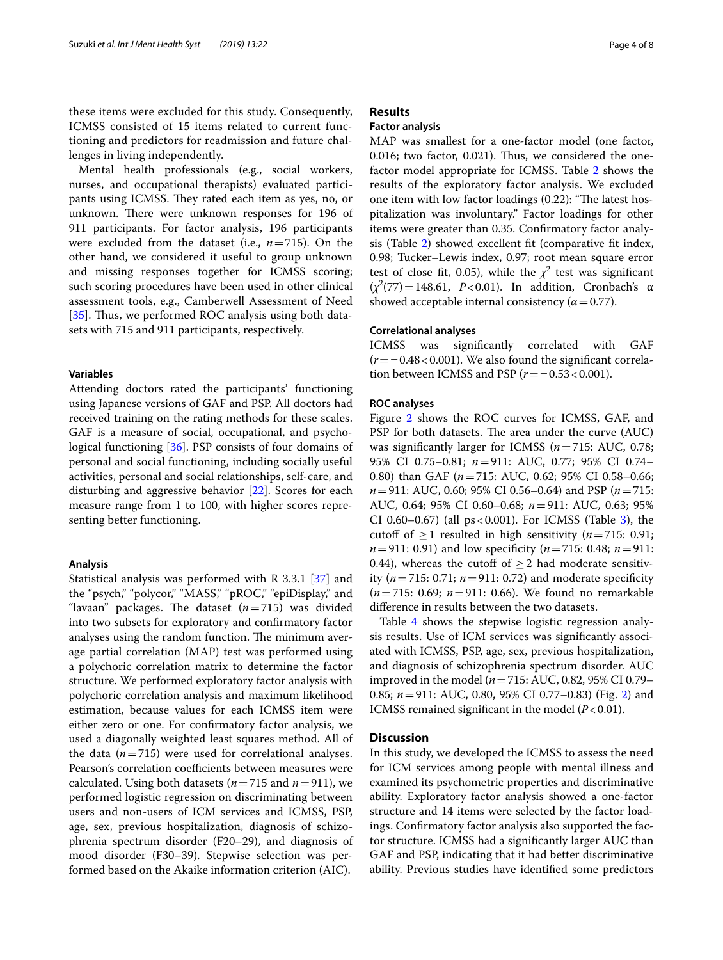these items were excluded for this study. Consequently, ICMSS consisted of 15 items related to current functioning and predictors for readmission and future challenges in living independently.

Mental health professionals (e.g., social workers, nurses, and occupational therapists) evaluated participants using ICMSS. They rated each item as yes, no, or unknown. There were unknown responses for 196 of 911 participants. For factor analysis, 196 participants were excluded from the dataset (i.e., *n*=715). On the other hand, we considered it useful to group unknown and missing responses together for ICMSS scoring; such scoring procedures have been used in other clinical assessment tools, e.g., Camberwell Assessment of Need [[35\]](#page-7-15). Thus, we performed ROC analysis using both datasets with 715 and 911 participants, respectively.

## **Variables**

Attending doctors rated the participants' functioning using Japanese versions of GAF and PSP. All doctors had received training on the rating methods for these scales. GAF is a measure of social, occupational, and psychological functioning [\[36](#page-7-16)]. PSP consists of four domains of personal and social functioning, including socially useful activities, personal and social relationships, self-care, and disturbing and aggressive behavior [[22\]](#page-7-4). Scores for each measure range from 1 to 100, with higher scores representing better functioning.

## **Analysis**

Statistical analysis was performed with R 3.3.1 [[37\]](#page-7-17) and the "psych," "polycor," "MASS," "pROC," "epiDisplay," and "lavaan" packages. The dataset  $(n=715)$  was divided into two subsets for exploratory and confrmatory factor analyses using the random function. The minimum average partial correlation (MAP) test was performed using a polychoric correlation matrix to determine the factor structure. We performed exploratory factor analysis with polychoric correlation analysis and maximum likelihood estimation, because values for each ICMSS item were either zero or one. For confrmatory factor analysis, we used a diagonally weighted least squares method. All of the data  $(n=715)$  were used for correlational analyses. Pearson's correlation coefficients between measures were calculated. Using both datasets  $(n=715 \text{ and } n=911)$ , we performed logistic regression on discriminating between users and non-users of ICM services and ICMSS, PSP, age, sex, previous hospitalization, diagnosis of schizophrenia spectrum disorder (F20–29), and diagnosis of mood disorder (F30–39). Stepwise selection was performed based on the Akaike information criterion (AIC).

## **Results**

## **Factor analysis**

MAP was smallest for a one-factor model (one factor, 0.016; two factor, 0.021). Thus, we considered the onefactor model appropriate for ICMSS. Table [2](#page-4-0) shows the results of the exploratory factor analysis. We excluded one item with low factor loadings (0.22): "The latest hospitalization was involuntary." Factor loadings for other items were greater than 0.35. Confrmatory factor analysis (Table [2](#page-4-0)) showed excellent ft (comparative ft index, 0.98; Tucker–Lewis index, 0.97; root mean square error test of close fit, 0.05), while the  $\chi^2$  test was significant  $(\chi^2(77) = 148.61, P < 0.01)$ . In addition, Cronbach's α showed acceptable internal consistency  $(\alpha = 0.77)$ .

## **Correlational analyses**

ICMSS was signifcantly correlated with GAF (*r*=−0.48<0.001). We also found the signifcant correlation between ICMSS and PSP ( $r$  = −0.53 < 0.001).

## **ROC analyses**

Figure [2](#page-4-1) shows the ROC curves for ICMSS, GAF, and PSP for both datasets. The area under the curve (AUC) was signifcantly larger for ICMSS (*n*=715: AUC, 0.78; 95% CI 0.75–0.81; *n*=911: AUC, 0.77; 95% CI 0.74– 0.80) than GAF (*n*=715: AUC, 0.62; 95% CI 0.58–0.66; *n*=911: AUC, 0.60; 95% CI 0.56–0.64) and PSP (*n*=715: AUC, 0.64; 95% CI 0.60–0.68; *n*=911: AUC, 0.63; 95% CI 0.60–0.67) (all  $ps < 0.001$ ). For ICMSS (Table [3](#page-5-0)), the cutoff of  $\geq$ 1 resulted in high sensitivity ( $n$ =715: 0.91; *n*=911: 0.91) and low specifcity (*n*=715: 0.48; *n*=911: 0.44), whereas the cutoff of  $\geq$  2 had moderate sensitivity  $(n = 715: 0.71; n = 911: 0.72)$  and moderate specificity (*n*=715: 0.69; *n*=911: 0.66). We found no remarkable diference in results between the two datasets.

Table [4](#page-5-1) shows the stepwise logistic regression analysis results. Use of ICM services was signifcantly associated with ICMSS, PSP, age, sex, previous hospitalization, and diagnosis of schizophrenia spectrum disorder. AUC improved in the model (*n*=715: AUC, 0.82, 95% CI 0.79– 0.85; *n*=911: AUC, 0.80, 95% CI 0.77–0.83) (Fig. [2](#page-4-1)) and ICMSS remained significant in the model  $(P<0.01)$ .

## **Discussion**

In this study, we developed the ICMSS to assess the need for ICM services among people with mental illness and examined its psychometric properties and discriminative ability. Exploratory factor analysis showed a one-factor structure and 14 items were selected by the factor loadings. Confrmatory factor analysis also supported the factor structure. ICMSS had a signifcantly larger AUC than GAF and PSP, indicating that it had better discriminative ability. Previous studies have identifed some predictors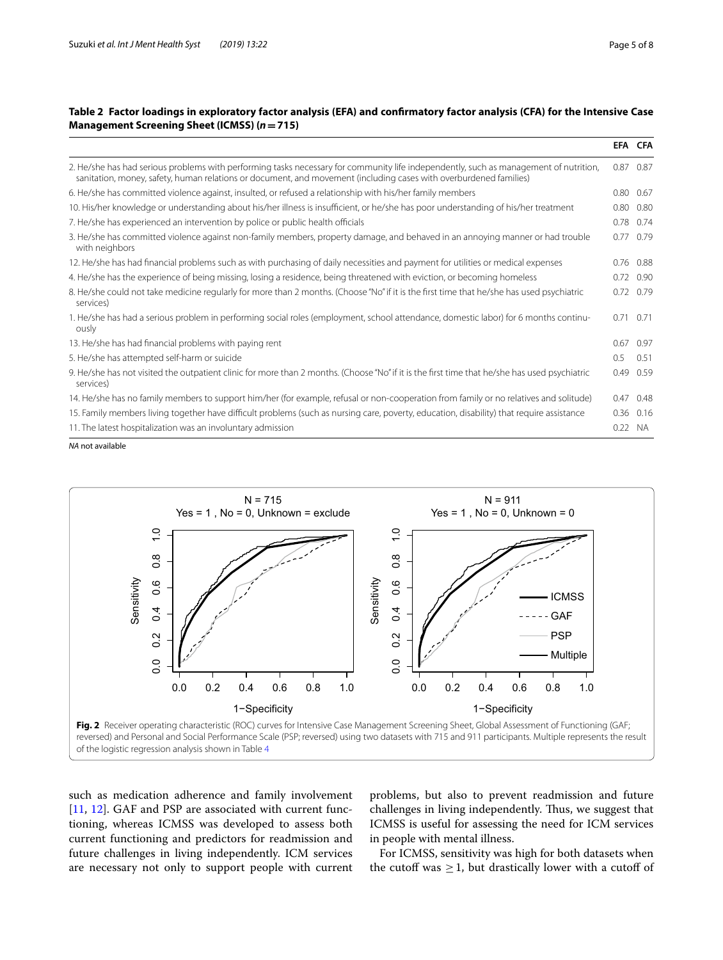## <span id="page-4-0"></span>**Table 2 Factor loadings in exploratory factor analysis (EFA) and confrmatory factor analysis (CFA) for the Intensive Case Management Screening Sheet (ICMSS) (***n***=715)**

|                                                                                                                                                                                                                                                            |      | EFA CFA           |
|------------------------------------------------------------------------------------------------------------------------------------------------------------------------------------------------------------------------------------------------------------|------|-------------------|
| 2. He/she has had serious problems with performing tasks necessary for community life independently, such as management of nutrition,<br>sanitation, money, safety, human relations or document, and movement (including cases with overburdened families) | 0.87 | 0.87              |
| 6. He/she has committed violence against, insulted, or refused a relationship with his/her family members                                                                                                                                                  | 0.80 | 0.67              |
| 10. His/her knowledge or understanding about his/her illness is insufficient, or he/she has poor understanding of his/her treatment                                                                                                                        | 0.80 | 0.80              |
| 7. He/she has experienced an intervention by police or public health officials                                                                                                                                                                             | 0.78 | 0.74              |
| 3. He/she has committed violence against non-family members, property damage, and behaved in an annoying manner or had trouble<br>with neighbors                                                                                                           | 0.77 | 0.79              |
| 12. He/she has had financial problems such as with purchasing of daily necessities and payment for utilities or medical expenses                                                                                                                           | 0.76 | 0.88              |
| 4. He/she has the experience of being missing, losing a residence, being threatened with eviction, or becoming homeless                                                                                                                                    |      | $0.72 \quad 0.90$ |
| 8. He/she could not take medicine regularly for more than 2 months. (Choose "No" if it is the first time that he/she has used psychiatric<br>services)                                                                                                     | 0.72 | 0.79              |
| 1. He/she has had a serious problem in performing social roles (employment, school attendance, domestic labor) for 6 months continu-<br>ously                                                                                                              | 0.71 | 0.71              |
| 13. He/she has had financial problems with paying rent                                                                                                                                                                                                     | 0.67 | 0.97              |
| 5. He/she has attempted self-harm or suicide                                                                                                                                                                                                               | 0.5  | 0.51              |
| 9. He/she has not visited the outpatient clinic for more than 2 months. (Choose "No" if it is the first time that he/she has used psychiatric<br>services)                                                                                                 | 0.49 | 0.59              |
| 14. He/she has no family members to support him/her (for example, refusal or non-cooperation from family or no relatives and solitude)                                                                                                                     | 0.47 | 0.48              |
| 15. Family members living together have difficult problems (such as nursing care, poverty, education, disability) that require assistance                                                                                                                  | 0.36 | 0.16              |
| 11. The latest hospitalization was an involuntary admission                                                                                                                                                                                                | 0.22 | <b>NA</b>         |

*NA* not available



<span id="page-4-1"></span>of the logistic regression analysis shown in Table [4](#page-5-1)

such as medication adherence and family involvement [[11,](#page-6-10) [12\]](#page-6-11). GAF and PSP are associated with current functioning, whereas ICMSS was developed to assess both current functioning and predictors for readmission and future challenges in living independently. ICM services are necessary not only to support people with current problems, but also to prevent readmission and future challenges in living independently. Thus, we suggest that ICMSS is useful for assessing the need for ICM services in people with mental illness.

For ICMSS, sensitivity was high for both datasets when the cutoff was  $\geq$  1, but drastically lower with a cutoff of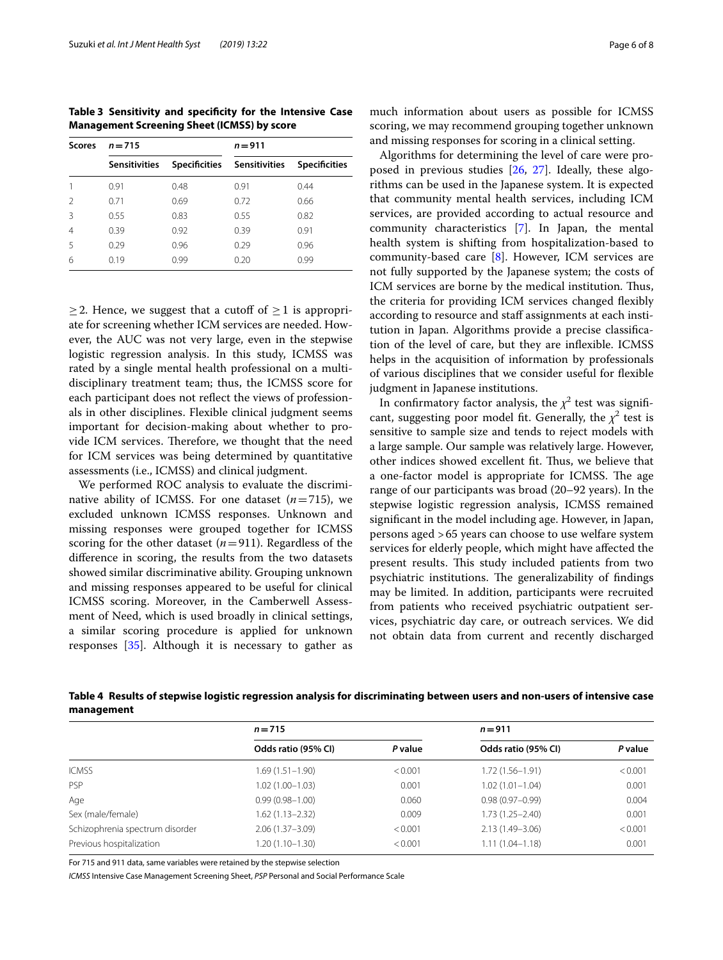<span id="page-5-0"></span>**Table 3 Sensitivity and specifcity for the Intensive Case Management Screening Sheet (ICMSS) by score**

| <b>Scores</b> | $n = 715$            |      | $n = 911$                   |                      |  |
|---------------|----------------------|------|-----------------------------|----------------------|--|
|               | <b>Sensitivities</b> |      | Specificities Sensitivities | <b>Specificities</b> |  |
|               | 0.91                 | 0.48 | 0.91                        | 0.44                 |  |
|               | 0.71                 | 0.69 | 0.72                        | 0.66                 |  |
| Β             | 0.55                 | 0.83 | 0.55                        | 0.82                 |  |
|               | 0.39                 | 0.92 | 0.39                        | 0.91                 |  |
| 5             | 0.29                 | 0.96 | 0.29                        | 0.96                 |  |
| 6             | 0.19                 | 0.99 | 0.20                        | 0.99                 |  |

 $\geq$  2. Hence, we suggest that a cutoff of  $\geq$  1 is appropriate for screening whether ICM services are needed. However, the AUC was not very large, even in the stepwise logistic regression analysis. In this study, ICMSS was rated by a single mental health professional on a multidisciplinary treatment team; thus, the ICMSS score for each participant does not refect the views of professionals in other disciplines. Flexible clinical judgment seems important for decision-making about whether to provide ICM services. Therefore, we thought that the need for ICM services was being determined by quantitative assessments (i.e., ICMSS) and clinical judgment.

We performed ROC analysis to evaluate the discriminative ability of ICMSS. For one dataset  $(n=715)$ , we excluded unknown ICMSS responses. Unknown and missing responses were grouped together for ICMSS scoring for the other dataset  $(n=911)$ . Regardless of the diference in scoring, the results from the two datasets showed similar discriminative ability. Grouping unknown and missing responses appeared to be useful for clinical ICMSS scoring. Moreover, in the Camberwell Assessment of Need, which is used broadly in clinical settings, a similar scoring procedure is applied for unknown responses [\[35](#page-7-15)]. Although it is necessary to gather as and missing responses for scoring in a clinical setting. Algorithms for determining the level of care were proposed in previous studies [\[26](#page-7-6), [27\]](#page-7-7). Ideally, these algorithms can be used in the Japanese system. It is expected that community mental health services, including ICM services, are provided according to actual resource and community characteristics [\[7](#page-6-6)]. In Japan, the mental health system is shifting from hospitalization-based to community-based care [\[8\]](#page-6-7). However, ICM services are not fully supported by the Japanese system; the costs of ICM services are borne by the medical institution. Thus, the criteria for providing ICM services changed fexibly according to resource and staff assignments at each institution in Japan. Algorithms provide a precise classifcation of the level of care, but they are infexible. ICMSS helps in the acquisition of information by professionals of various disciplines that we consider useful for fexible judgment in Japanese institutions.

In confirmatory factor analysis, the  $\chi^2$  test was significant, suggesting poor model fit. Generally, the  $\chi^2$  test is sensitive to sample size and tends to reject models with a large sample. Our sample was relatively large. However, other indices showed excellent ft. Tus, we believe that a one-factor model is appropriate for ICMSS. The age range of our participants was broad (20–92 years). In the stepwise logistic regression analysis, ICMSS remained signifcant in the model including age. However, in Japan, persons aged >65 years can choose to use welfare system services for elderly people, which might have afected the present results. This study included patients from two psychiatric institutions. The generalizability of findings may be limited. In addition, participants were recruited from patients who received psychiatric outpatient services, psychiatric day care, or outreach services. We did not obtain data from current and recently discharged

<span id="page-5-1"></span>**Table 4 Results of stepwise logistic regression analysis for discriminating between users and non-users of intensive case management**

|                                 | $n = 715$           |         | $n = 911$           |         |
|---------------------------------|---------------------|---------|---------------------|---------|
|                                 | Odds ratio (95% CI) | P value | Odds ratio (95% CI) | P value |
| <b>ICMSS</b>                    | 1.69 (1.51–1.90)    | < 0.001 | 1.72 (1.56-1.91)    | < 0.001 |
| PSP                             | $1.02(1.00 - 1.03)$ | 0.001   | $1.02(1.01 - 1.04)$ | 0.001   |
| Age                             | $0.99(0.98 - 1.00)$ | 0.060   | $0.98(0.97 - 0.99)$ | 0.004   |
| Sex (male/female)               | 1.62 (1.13–2.32)    | 0.009   | $1.73(1.25 - 2.40)$ | 0.001   |
| Schizophrenia spectrum disorder | $2.06(1.37 - 3.09)$ | < 0.001 | $2.13(1.49 - 3.06)$ | < 0.001 |
| Previous hospitalization        | 1.20 (1.10–1.30)    | < 0.001 | $1.11(1.04 - 1.18)$ | 0.001   |

For 715 and 911 data, same variables were retained by the stepwise selection

*ICMSS* Intensive Case Management Screening Sheet, *PSP* Personal and Social Performance Scale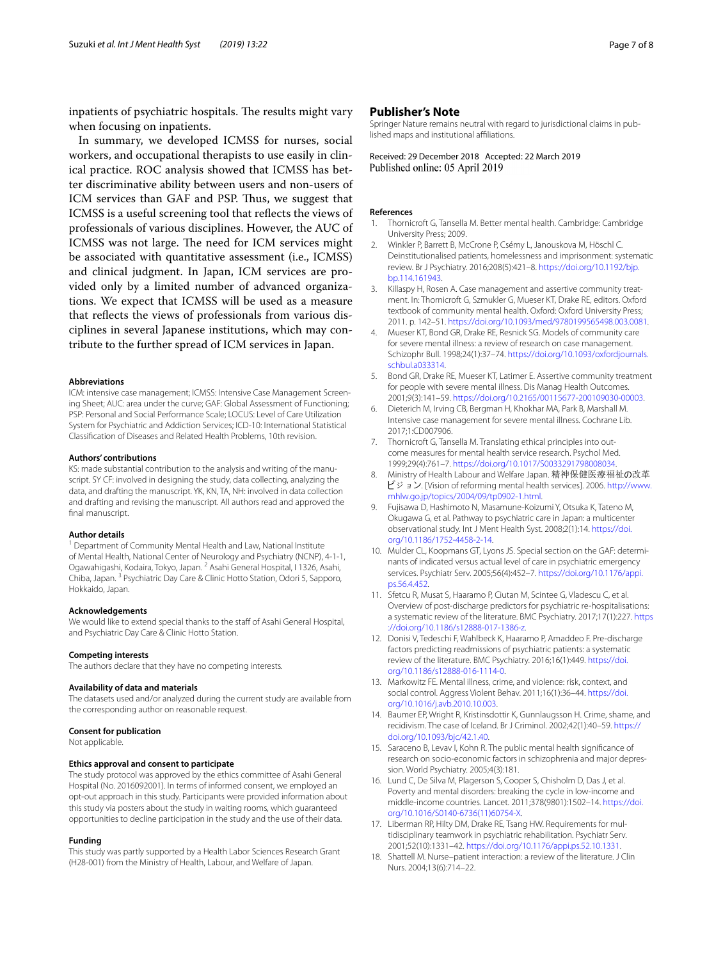inpatients of psychiatric hospitals. The results might vary when focusing on inpatients.

In summary, we developed ICMSS for nurses, social workers, and occupational therapists to use easily in clinical practice. ROC analysis showed that ICMSS has better discriminative ability between users and non-users of ICM services than GAF and PSP. Thus, we suggest that ICMSS is a useful screening tool that refects the views of professionals of various disciplines. However, the AUC of ICMSS was not large. The need for ICM services might be associated with quantitative assessment (i.e., ICMSS) and clinical judgment. In Japan, ICM services are provided only by a limited number of advanced organizations. We expect that ICMSS will be used as a measure that refects the views of professionals from various disciplines in several Japanese institutions, which may contribute to the further spread of ICM services in Japan.

#### **Abbreviations**

ICM: intensive case management; ICMSS: Intensive Case Management Screening Sheet; AUC: area under the curve; GAF: Global Assessment of Functioning; PSP: Personal and Social Performance Scale; LOCUS: Level of Care Utilization System for Psychiatric and Addiction Services; ICD-10: International Statistical Classifcation of Diseases and Related Health Problems, 10th revision.

#### **Authors' contributions**

KS: made substantial contribution to the analysis and writing of the manuscript. SY CF: involved in designing the study, data collecting, analyzing the data, and drafting the manuscript. YK, KN, TA, NH: involved in data collection and drafting and revising the manuscript. All authors read and approved the fnal manuscript.

#### **Author details**

<sup>1</sup> Department of Community Mental Health and Law, National Institute of Mental Health, National Center of Neurology and Psychiatry (NCNP), 4-1-1, Ogawahigashi, Kodaira, Tokyo, Japan. <sup>2</sup> Asahi General Hospital, I 1326, Asahi, Chiba, Japan. 3 Psychiatric Day Care & Clinic Hotto Station, Odori 5, Sapporo, Hokkaido, Japan.

## **Acknowledgements**

We would like to extend special thanks to the staff of Asahi General Hospital, and Psychiatric Day Care & Clinic Hotto Station.

#### **Competing interests**

The authors declare that they have no competing interests.

## **Availability of data and materials**

The datasets used and/or analyzed during the current study are available from the corresponding author on reasonable request.

#### **Consent for publication**

Not applicable.

## **Ethics approval and consent to participate**

The study protocol was approved by the ethics committee of Asahi General Hospital (No. 2016092001). In terms of informed consent, we employed an opt-out approach in this study. Participants were provided information about this study via posters about the study in waiting rooms, which guaranteed opportunities to decline participation in the study and the use of their data.

## **Funding**

This study was partly supported by a Health Labor Sciences Research Grant (H28-001) from the Ministry of Health, Labour, and Welfare of Japan.

## **Publisher's Note**

Springer Nature remains neutral with regard to jurisdictional claims in published maps and institutional afliations.

Received: 29 December 2018 Accepted: 22 March 2019 Published online: 05 April 2019

#### **References**

- <span id="page-6-0"></span>1. Thornicroft G, Tansella M. Better mental health. Cambridge: Cambridge University Press; 2009.
- <span id="page-6-1"></span>2. Winkler P, Barrett B, McCrone P, Csémy L, Janouskova M, Höschl C. Deinstitutionalised patients, homelessness and imprisonment: systematic review. Br J Psychiatry. 2016;208(5):421–8. [https://doi.org/10.1192/bjp.](https://doi.org/10.1192/bjp.bp.114.161943) [bp.114.161943](https://doi.org/10.1192/bjp.bp.114.161943).
- <span id="page-6-2"></span>3. Killaspy H, Rosen A. Case management and assertive community treatment. In: Thornicroft G, Szmukler G, Mueser KT, Drake RE, editors. Oxford textbook of community mental health. Oxford: Oxford University Press; 2011. p. 142–51.<https://doi.org/10.1093/med/9780199565498.003.0081>.
- <span id="page-6-3"></span>4. Mueser KT, Bond GR, Drake RE, Resnick SG. Models of community care for severe mental illness: a review of research on case management. Schizophr Bull. 1998;24(1):37–74. [https://doi.org/10.1093/oxfordjournals.](https://doi.org/10.1093/oxfordjournals.schbul.a033314) [schbul.a033314](https://doi.org/10.1093/oxfordjournals.schbul.a033314).
- <span id="page-6-4"></span>5. Bond GR, Drake RE, Mueser KT, Latimer E. Assertive community treatment for people with severe mental illness. Dis Manag Health Outcomes. 2001;9(3):141–59.<https://doi.org/10.2165/00115677-200109030-00003>.
- <span id="page-6-5"></span>6. Dieterich M, Irving CB, Bergman H, Khokhar MA, Park B, Marshall M. Intensive case management for severe mental illness. Cochrane Lib. 2017;1:CD007906.
- <span id="page-6-6"></span>Thornicroft G, Tansella M. Translating ethical principles into outcome measures for mental health service research. Psychol Med. 1999;29(4):761–7.<https://doi.org/10.1017/S0033291798008034>.
- <span id="page-6-7"></span>8. Ministry of Health Labour and Welfare Japan. 精神保健医療福祉の改革 ビジョン. [Vision of reforming mental health services]. 2006. [http://www.](http://www.mhlw.go.jp/topics/2004/09/tp0902-1.html) [mhlw.go.jp/topics/2004/09/tp0902-1.html.](http://www.mhlw.go.jp/topics/2004/09/tp0902-1.html)
- <span id="page-6-8"></span>9. Fujisawa D, Hashimoto N, Masamune-Koizumi Y, Otsuka K, Tateno M, Okugawa G, et al. Pathway to psychiatric care in Japan: a multicenter observational study. Int J Ment Health Syst. 2008;2(1):14. [https://doi.](https://doi.org/10.1186/1752-4458-2-14) [org/10.1186/1752-4458-2-14](https://doi.org/10.1186/1752-4458-2-14).
- <span id="page-6-9"></span>10. Mulder CL, Koopmans GT, Lyons JS. Special section on the GAF: determinants of indicated versus actual level of care in psychiatric emergency services. Psychiatr Serv. 2005;56(4):452–7. [https://doi.org/10.1176/appi.](https://doi.org/10.1176/appi.ps.56.4.452) [ps.56.4.452](https://doi.org/10.1176/appi.ps.56.4.452).
- <span id="page-6-10"></span>11. Sfetcu R, Musat S, Haaramo P, Ciutan M, Scintee G, Vladescu C, et al. Overview of post-discharge predictors for psychiatric re-hospitalisations: a systematic review of the literature. BMC Psychiatry. 2017;17(1):227. [https](https://doi.org/10.1186/s12888-017-1386-z) [://doi.org/10.1186/s12888-017-1386-z](https://doi.org/10.1186/s12888-017-1386-z).
- <span id="page-6-11"></span>12. Donisi V, Tedeschi F, Wahlbeck K, Haaramo P, Amaddeo F. Pre-discharge factors predicting readmissions of psychiatric patients: a systematic review of the literature. BMC Psychiatry. 2016;16(1):449. [https://doi.](https://doi.org/10.1186/s12888-016-1114-0) [org/10.1186/s12888-016-1114-0.](https://doi.org/10.1186/s12888-016-1114-0)
- <span id="page-6-12"></span>13. Markowitz FE. Mental illness, crime, and violence: risk, context, and social control. Aggress Violent Behav. 2011;16(1):36–44. [https://doi.](https://doi.org/10.1016/j.avb.2010.10.003) [org/10.1016/j.avb.2010.10.003.](https://doi.org/10.1016/j.avb.2010.10.003)
- <span id="page-6-13"></span>14. Baumer EP, Wright R, Kristinsdottir K, Gunnlaugsson H. Crime, shame, and recidivism. The case of Iceland. Br J Criminol. 2002;42(1):40–59. [https://](https://doi.org/10.1093/bjc/42.1.40) [doi.org/10.1093/bjc/42.1.40](https://doi.org/10.1093/bjc/42.1.40).
- <span id="page-6-14"></span>15. Saraceno B, Levav I, Kohn R. The public mental health signifcance of research on socio-economic factors in schizophrenia and major depression. World Psychiatry. 2005;4(3):181.
- <span id="page-6-15"></span>16. Lund C, De Silva M, Plagerson S, Cooper S, Chisholm D, Das J, et al. Poverty and mental disorders: breaking the cycle in low-income and middle-income countries. Lancet. 2011;378(9801):1502–14. [https://doi.](https://doi.org/10.1016/S0140-6736(11)60754-X) [org/10.1016/S0140-6736\(11\)60754-X](https://doi.org/10.1016/S0140-6736(11)60754-X).
- <span id="page-6-16"></span>17. Liberman RP, Hilty DM, Drake RE, Tsang HW. Requirements for multidisciplinary teamwork in psychiatric rehabilitation. Psychiatr Serv. 2001;52(10):1331–42. [https://doi.org/10.1176/appi.ps.52.10.1331.](https://doi.org/10.1176/appi.ps.52.10.1331)
- <span id="page-6-17"></span>18. Shattell M. Nurse–patient interaction: a review of the literature. J Clin Nurs. 2004;13(6):714–22.